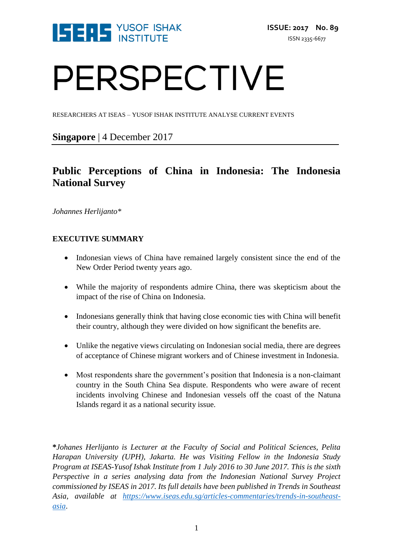

# PERSPECTIVE

RESEARCHERS AT ISEAS – YUSOF ISHAK INSTITUTE ANALYSE CURRENT EVENTS

**Singapore** | 4 December 2017

# **Public Perceptions of China in Indonesia: The Indonesia National Survey**

*Johannes Herlijanto\**

# **EXECUTIVE SUMMARY**

- Indonesian views of China have remained largely consistent since the end of the New Order Period twenty years ago.
- While the majority of respondents admire China, there was skepticism about the impact of the rise of China on Indonesia.
- Indonesians generally think that having close economic ties with China will benefit their country, although they were divided on how significant the benefits are.
- Unlike the negative views circulating on Indonesian social media, there are degrees of acceptance of Chinese migrant workers and of Chinese investment in Indonesia.
- Most respondents share the government's position that Indonesia is a non-claimant country in the South China Sea dispute. Respondents who were aware of recent incidents involving Chinese and Indonesian vessels off the coast of the Natuna Islands regard it as a national security issue.

**\****Johanes Herlijanto is Lecturer at the Faculty of Social and Political Sciences, Pelita Harapan University (UPH), Jakarta. He was Visiting Fellow in the Indonesia Study Program at ISEAS-Yusof Ishak Institute from 1 July 2016 to 30 June 2017. This is the sixth Perspective in a series analysing data from the Indonesian National Survey Project commissioned by ISEAS in 2017. Its full details have been published in Trends in Southeast Asia, available at [https://www.iseas.edu.sg/articles-commentaries/trends-in-southeast](https://www.iseas.edu.sg/articles-commentaries/trends-in-southeast-asia)[asia](https://www.iseas.edu.sg/articles-commentaries/trends-in-southeast-asia)*.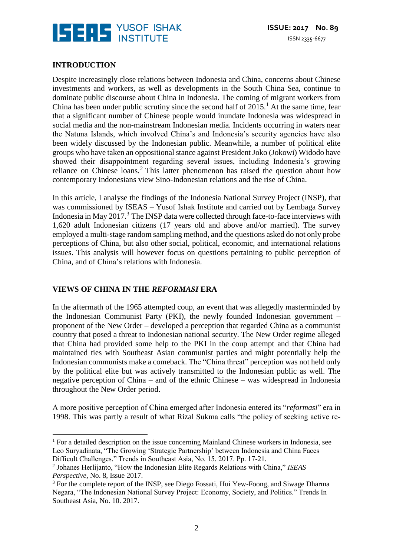

## **INTRODUCTION**

 $\overline{a}$ 

Despite increasingly close relations between Indonesia and China, concerns about Chinese investments and workers, as well as developments in the South China Sea, continue to dominate public discourse about China in Indonesia. The coming of migrant workers from China has been under public scrutiny since the second half of  $2015<sup>1</sup>$ . At the same time, fear that a significant number of Chinese people would inundate Indonesia was widespread in social media and the non-mainstream Indonesian media. Incidents occurring in waters near the Natuna Islands, which involved China's and Indonesia's security agencies have also been widely discussed by the Indonesian public. Meanwhile, a number of political elite groups who have taken an oppositional stance against President Joko (Jokowi) Widodo have showed their disappointment regarding several issues, including Indonesia's growing reliance on Chinese loans.<sup>2</sup> This latter phenomenon has raised the question about how contemporary Indonesians view Sino-Indonesian relations and the rise of China.

In this article, I analyse the findings of the Indonesia National Survey Project (INSP), that was commissioned by ISEAS – Yusof Ishak Institute and carried out by Lembaga Survey Indonesia in May 2017.<sup>3</sup> The INSP data were collected through face-to-face interviews with 1,620 adult Indonesian citizens (17 years old and above and/or married). The survey employed a multi-stage random sampling method, and the questions asked do not only probe perceptions of China, but also other social, political, economic, and international relations issues. This analysis will however focus on questions pertaining to public perception of China, and of China's relations with Indonesia.

#### **VIEWS OF CHINA IN THE** *REFORMASI* **ERA**

In the aftermath of the 1965 attempted coup, an event that was allegedly masterminded by the Indonesian Communist Party (PKI), the newly founded Indonesian government – proponent of the New Order – developed a perception that regarded China as a communist country that posed a threat to Indonesian national security. The New Order regime alleged that China had provided some help to the PKI in the coup attempt and that China had maintained ties with Southeast Asian communist parties and might potentially help the Indonesian communists make a comeback. The "China threat" perception was not held only by the political elite but was actively transmitted to the Indonesian public as well. The negative perception of China – and of the ethnic Chinese – was widespread in Indonesia throughout the New Order period.

A more positive perception of China emerged after Indonesia entered its "*reformasi*" era in 1998. This was partly a result of what Rizal Sukma calls "the policy of seeking active re-

<sup>&</sup>lt;sup>1</sup> For a detailed description on the issue concerning Mainland Chinese workers in Indonesia, see Leo Suryadinata, "The Growing 'Strategic Partnership' between Indonesia and China Faces Difficult Challenges." Trends in Southeast Asia, No. 15. 2017. Pp. 17-21.

<sup>2</sup> Johanes Herlijanto, "How the Indonesian Elite Regards Relations with China," *ISEAS Perspective*, No. 8, Issue 2017.

<sup>&</sup>lt;sup>3</sup> For the complete report of the INSP, see Diego Fossati, Hui Yew-Foong, and Siwage Dharma Negara, "The Indonesian National Survey Project: Economy, Society, and Politics." Trends In Southeast Asia, No. 10. 2017.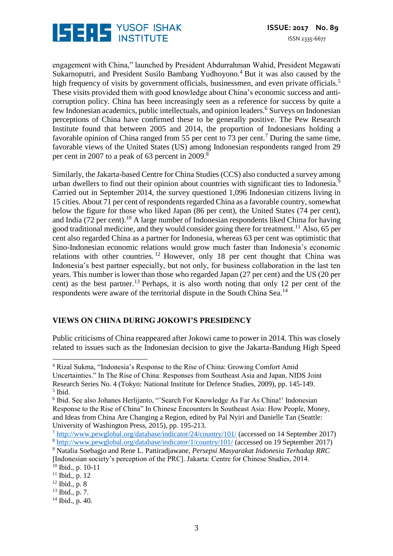

engagement with China," launched by President Abdurrahman Wahid, President Megawati Sukarnoputri, and President Susilo Bambang Yudhoyono.<sup>4</sup> But it was also caused by the high frequency of visits by government officials, businessmen, and even private officials.<sup>5</sup> These visits provided them with good knowledge about China's economic success and anticorruption policy. China has been increasingly seen as a reference for success by quite a few Indonesian academics, public intellectuals, and opinion leaders.<sup>6</sup> Surveys on Indonesian perceptions of China have confirmed these to be generally positive. The Pew Research Institute found that between 2005 and 2014, the proportion of Indonesians holding a favorable opinion of China ranged from 55 per cent to 73 per cent.<sup>7</sup> During the same time, favorable views of the United States (US) among Indonesian respondents ranged from 29 per cent in 2007 to a peak of 63 percent in 2009.<sup>8</sup>

Similarly, the Jakarta-based Centre for China Studies (CCS) also conducted a survey among urban dwellers to find out their opinion about countries with significant ties to Indonesia.<sup>9</sup> Carried out in September 2014, the survey questioned 1,096 Indonesian citizens living in 15 cities. About 71 per cent of respondents regarded China as a favorable country, somewhat below the figure for those who liked Japan (86 per cent), the United States (74 per cent), and India (72 per cent).<sup>10</sup> A large number of Indonesian respondents liked China for having good traditional medicine, and they would consider going there for treatment.<sup>11</sup> Also, 65 per cent also regarded China as a partner for Indonesia, whereas 63 per cent was optimistic that Sino-Indonesian economic relations would grow much faster than Indonesia's economic relations with other countries.  $12$  However, only 18 per cent thought that China was Indonesia's best partner especially, but not only, for business collaboration in the last ten years. This number is lower than those who regarded Japan (27 per cent) and the US (20 per cent) as the best partner.<sup>13</sup> Perhaps, it is also worth noting that only 12 per cent of the respondents were aware of the territorial dispute in the South China Sea.<sup>14</sup>

# **VIEWS ON CHINA DURING JOKOWI'S PRESIDENCY**

Public criticisms of China reappeared after Jokowi came to power in 2014. This was closely related to issues such as the Indonesian decision to give the Jakarta-Bandung High Speed

<sup>4</sup> Rizal Sukma, "Indonesia's Response to the Rise of China: Growing Comfort Amid Uncertainties." In The Rise of China: Responses from Southeast Asia and Japan, NIDS Joint Research Series No. 4 (Tokyo: National Institute for Defence Studies, 2009), pp. 145-149. 5 Ibid.

<sup>6</sup> Ibid. See also Johanes Herlijanto, "Search For Knowledge As Far As China!' Indonesian Response to the Rise of China" In Chinese Encounters In Southeast Asia: How People, Money, and Ideas from China Are Changing a Region, edited by Pal Nyiri and Danielle Tan (Seattle: University of Washington Press, 2015), pp. 195-213.

<sup>9</sup> Natalia Soebagjo and Rene L. Pattiradjawane, *Persepsi Masyarakat Indonesia Terhadap RRC* [Indonesian society's perception of the PRC]. Jakarta: Centre for Chinese Studies, 2014.

 $10$  Ibid., p. 10-11

 $\overline{a}$ 

- <sup>12</sup> Ibid., p. 8
- $13$  Ibid., p. 7.

<sup>7</sup> <http://www.pewglobal.org/database/indicator/24/country/101/> (accessed on 14 September 2017)

<sup>8</sup> <http://www.pewglobal.org/database/indicator/1/country/101/> (accessed on 19 September 2017)

 $11$  Ibid., p. 12

<sup>14</sup> Ibid., p. 40.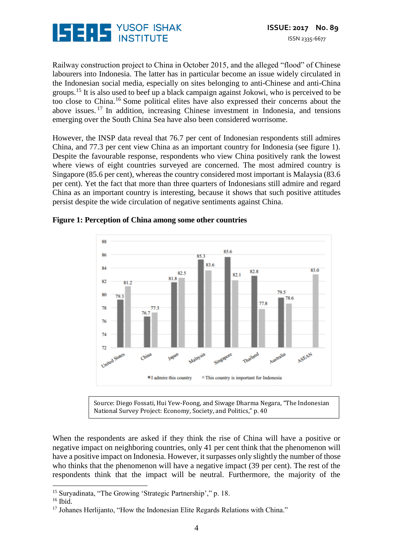

Railway construction project to China in October 2015, and the alleged "flood" of Chinese labourers into Indonesia. The latter has in particular become an issue widely circulated in the Indonesian social media, especially on sites belonging to anti-Chinese and anti-China groups.<sup>15</sup> It is also used to beef up a black campaign against Jokowi, who is perceived to be too close to China.<sup>16</sup> Some political elites have also expressed their concerns about the above issues. <sup>17</sup> In addition, increasing Chinese investment in Indonesia, and tensions emerging over the South China Sea have also been considered worrisome.

However, the INSP data reveal that 76.7 per cent of Indonesian respondents still admires China, and 77.3 per cent view China as an important country for Indonesia (see figure 1). Despite the favourable response, respondents who view China positively rank the lowest where views of eight countries surveyed are concerned. The most admired country is Singapore (85.6 per cent), whereas the country considered most important is Malaysia (83.6 per cent). Yet the fact that more than three quarters of Indonesians still admire and regard China as an important country is interesting, because it shows that such positive attitudes persist despite the wide circulation of negative sentiments against China.



**Figure 1: Perception of China among some other countries**

Source: Diego Fossati, Hui Yew-Foong, and Siwage Dharma Negara, "The Indonesian National Survey Project: Economy, Society, and Politics," p. 40

When the respondents are asked if they think the rise of China will have a positive or negative impact on neighboring countries, only 41 per cent think that the phenomenon will have a positive impact on Indonesia. However, it surpasses only slightly the number of those who thinks that the phenomenon will have a negative impact (39 per cent). The rest of the respondents think that the impact will be neutral. Furthermore, the majority of the

<sup>&</sup>lt;u>.</u> <sup>15</sup> Survadinata, "The Growing 'Strategic Partnership'," p. 18.

<sup>&</sup>lt;sup>16</sup> Ibid.

<sup>&</sup>lt;sup>17</sup> Johanes Herlijanto, "How the Indonesian Elite Regards Relations with China."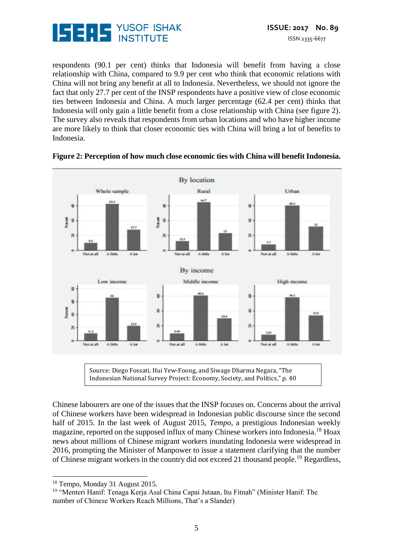

respondents (90.1 per cent) thinks that Indonesia will benefit from having a close relationship with China, compared to 9.9 per cent who think that economic relations with China will not bring any benefit at all to Indonesia. Nevertheless, we should not ignore the fact that only 27.7 per cent of the INSP respondents have a positive view of close economic ties between Indonesia and China. A much larger percentage (62.4 per cent) thinks that Indonesia will only gain a little benefit from a close relationship with China (see figure 2). The survey also reveals that respondents from urban locations and who have higher income are more likely to think that closer economic ties with China will bring a lot of benefits to Indonesia.



#### **Figure 2: Perception of how much close economic ties with China will benefit Indonesia.**

Indonesian National Survey Project: Economy, Society, and Politics," p. 40

Chinese labourers are one of the issues that the INSP focuses on. Concerns about the arrival of Chinese workers have been widespread in Indonesian public discourse since the second half of 2015. In the last week of August 2015, *Tempo*, a prestigious Indonesian weekly magazine, reported on the supposed influx of many Chinese workers into Indonesia.<sup>18</sup> Hoax news about millions of Chinese migrant workers inundating Indonesia were widespread in 2016, prompting the Minister of Manpower to issue a statement clarifying that the number of Chinese migrant workers in the country did not exceed 21 thousand people.<sup>19</sup> Regardless,

<sup>18</sup> Tempo, Monday 31 August 2015.

<sup>19</sup> "Menteri Hanif: Tenaga Kerja Asal China Capai Jutaan, Itu Fitnah" (Minister Hanif: The number of Chinese Workers Reach Millions, That's a Slander)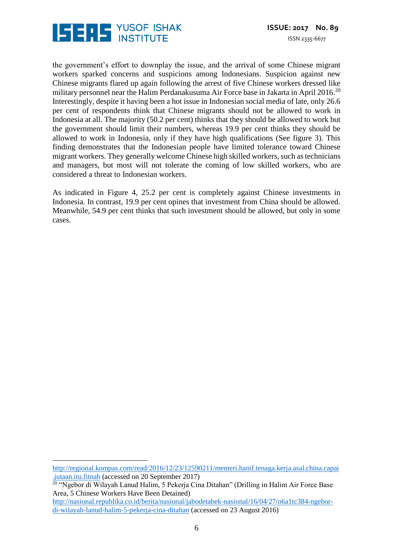

the government's effort to downplay the issue, and the arrival of some Chinese migrant workers sparked concerns and suspicions among Indonesians. Suspicion against new Chinese migrants flared up again following the arrest of five Chinese workers dressed like military personnel near the Halim Perdanakusuma Air Force base in Jakarta in April 2016. $^{20}$ Interestingly, despite it having been a hot issue in Indonesian social media of late, only 26.6 per cent of respondents think that Chinese migrants should not be allowed to work in Indonesia at all. The majority (50.2 per cent) thinks that they should be allowed to work but the government should limit their numbers, whereas 19.9 per cent thinks they should be allowed to work in Indonesia, only if they have high qualifications (See figure 3). This finding demonstrates that the Indonesian people have limited tolerance toward Chinese migrant workers. They generally welcome Chinese high skilled workers, such as technicians and managers, but most will not tolerate the coming of low skilled workers, who are considered a threat to Indonesian workers.

As indicated in Figure 4, 25.2 per cent is completely against Chinese investments in Indonesia. In contrast, 19.9 per cent opines that investment from China should be allowed. Meanwhile, 54.9 per cent thinks that such investment should be allowed, but only in some cases.

[http://regional.kompas.com/read/2016/12/23/12590211/menteri.hanif.tenaga.kerja.asal.china.capai](http://regional.kompas.com/read/2016/12/23/12590211/menteri.hanif.tenaga.kerja.asal.china.capai.jutaan.itu.fitnah) [.jutaan.itu.fitnah](http://regional.kompas.com/read/2016/12/23/12590211/menteri.hanif.tenaga.kerja.asal.china.capai.jutaan.itu.fitnah) (accessed on 20 September 2017) <sup>20</sup> "Ngebor di Wilayah Lanud Halim, 5 Pekerja Cina Ditahan" (Drilling in Halim Air Force Base Area, 5 Chinese Workers Have Been Detained) [http://nasional.republika.co.id/berita/nasional/jabodetabek-nasional/16/04/27/o6a1tc384-ngebor](http://nasional.republika.co.id/berita/nasional/jabodetabek-nasional/16/04/27/o6a1tc384-ngebor-di-wilayah-lanud-halim-5-pekerja-cina-ditahan)[di-wilayah-lanud-halim-5-pekerja-cina-ditahan](http://nasional.republika.co.id/berita/nasional/jabodetabek-nasional/16/04/27/o6a1tc384-ngebor-di-wilayah-lanud-halim-5-pekerja-cina-ditahan) (accessed on 23 August 2016)

 $\overline{a}$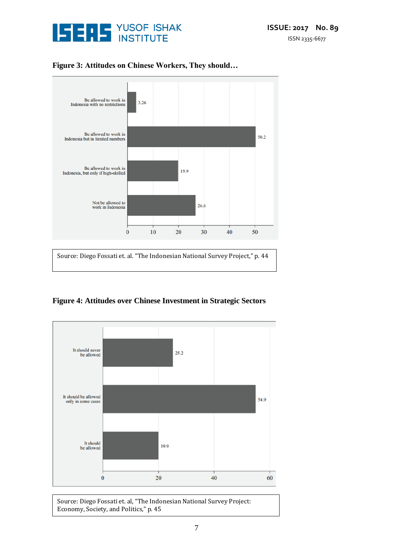



## **Figure 3: Attitudes on Chinese Workers, They should…**

**Figure 4: Attitudes over Chinese Investment in Strategic Sectors**



Source: Diego Fossati et. al, "The Indonesian National Survey Project: Economy, Society, and Politics," p. 45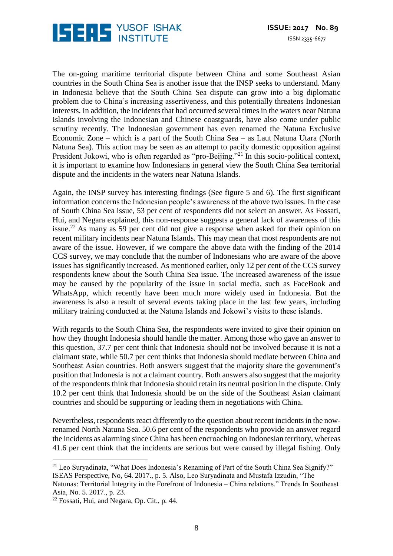

The on-going maritime territorial dispute between China and some Southeast Asian countries in the South China Sea is another issue that the INSP seeks to understand. Many in Indonesia believe that the South China Sea dispute can grow into a big diplomatic problem due to China's increasing assertiveness, and this potentially threatens Indonesian interests. In addition, the incidents that had occurred several times in the waters near Natuna Islands involving the Indonesian and Chinese coastguards, have also come under public scrutiny recently. The Indonesian government has even renamed the Natuna Exclusive Economic Zone – which is a part of the South China Sea – as Laut Natuna Utara (North Natuna Sea). This action may be seen as an attempt to pacify domestic opposition against President Jokowi, who is often regarded as "pro-Beijing."<sup>21</sup> In this socio-political context, it is important to examine how Indonesians in general view the South China Sea territorial dispute and the incidents in the waters near Natuna Islands.

Again, the INSP survey has interesting findings (See figure 5 and 6). The first significant information concerns the Indonesian people's awareness of the above two issues. In the case of South China Sea issue, 53 per cent of respondents did not select an answer. As Fossati, Hui, and Negara explained, this non-response suggests a general lack of awareness of this issue.<sup>22</sup> As many as 59 per cent did not give a response when asked for their opinion on recent military incidents near Natuna Islands. This may mean that most respondents are not aware of the issue. However, if we compare the above data with the finding of the 2014 CCS survey, we may conclude that the number of Indonesians who are aware of the above issues has significantly increased. As mentioned earlier, only 12 per cent of the CCS survey respondents knew about the South China Sea issue. The increased awareness of the issue may be caused by the popularity of the issue in social media, such as FaceBook and WhatsApp, which recently have been much more widely used in Indonesia. But the awareness is also a result of several events taking place in the last few years, including military training conducted at the Natuna Islands and Jokowi's visits to these islands.

With regards to the South China Sea, the respondents were invited to give their opinion on how they thought Indonesia should handle the matter. Among those who gave an answer to this question, 37.7 per cent think that Indonesia should not be involved because it is not a claimant state, while 50.7 per cent thinks that Indonesia should mediate between China and Southeast Asian countries. Both answers suggest that the majority share the government's position that Indonesia is not a claimant country. Both answers also suggest that the majority of the respondents think that Indonesia should retain its neutral position in the dispute. Only 10.2 per cent think that Indonesia should be on the side of the Southeast Asian claimant countries and should be supporting or leading them in negotiations with China.

Nevertheless, respondents react differently to the question about recent incidents in the nowrenamed North Natuna Sea. 50.6 per cent of the respondents who provide an answer regard the incidents as alarming since China has been encroaching on Indonesian territory, whereas 41.6 per cent think that the incidents are serious but were caused by illegal fishing. Only

<sup>&</sup>lt;sup>21</sup> Leo Suryadinata, "What Does Indonesia's Renaming of Part of the South China Sea Signify?" ISEAS Perspective, No, 64. 2017., p. 5. Also, Leo Suryadinata and Mustafa Izzudin, "The Natunas: Territorial Integrity in the Forefront of Indonesia – China relations." Trends In Southeast Asia, No. 5. 2017., p. 23.

 $22$  Fossati, Hui, and Negara, Op. Cit., p. 44.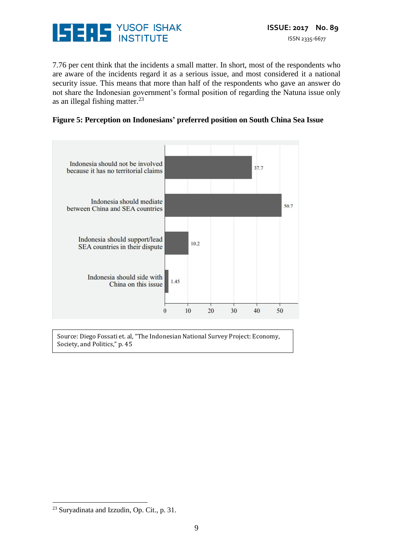

7.76 per cent think that the incidents a small matter. In short, most of the respondents who are aware of the incidents regard it as a serious issue, and most considered it a national security issue. This means that more than half of the respondents who gave an answer do not share the Indonesian government's formal position of regarding the Natuna issue only as an illegal fishing matter. 23





Source: Diego Fossati et. al, "The Indonesian National Survey Project: Economy, Society, and Politics," p. 45

<sup>23</sup> Suryadinata and Izzudin, Op. Cit., p. 31.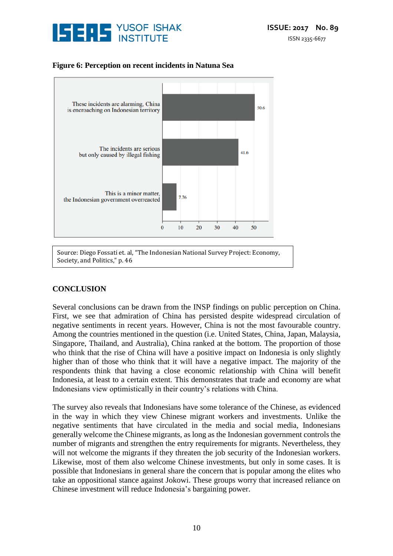

# **Figure 6: Perception on recent incidents in Natuna Sea**



# **CONCLUSION**

Several conclusions can be drawn from the INSP findings on public perception on China. First, we see that admiration of China has persisted despite widespread circulation of negative sentiments in recent years. However, China is not the most favourable country. Among the countries mentioned in the question (i.e. United States, China, Japan, Malaysia, Singapore, Thailand, and Australia), China ranked at the bottom. The proportion of those who think that the rise of China will have a positive impact on Indonesia is only slightly higher than of those who think that it will have a negative impact. The majority of the respondents think that having a close economic relationship with China will benefit Indonesia, at least to a certain extent. This demonstrates that trade and economy are what Indonesians view optimistically in their country's relations with China.

The survey also reveals that Indonesians have some tolerance of the Chinese, as evidenced in the way in which they view Chinese migrant workers and investments. Unlike the negative sentiments that have circulated in the media and social media, Indonesians generally welcome the Chinese migrants, as long as the Indonesian government controls the number of migrants and strengthen the entry requirements for migrants. Nevertheless, they will not welcome the migrants if they threaten the job security of the Indonesian workers. Likewise, most of them also welcome Chinese investments, but only in some cases. It is possible that Indonesians in general share the concern that is popular among the elites who take an oppositional stance against Jokowi. These groups worry that increased reliance on Chinese investment will reduce Indonesia's bargaining power.